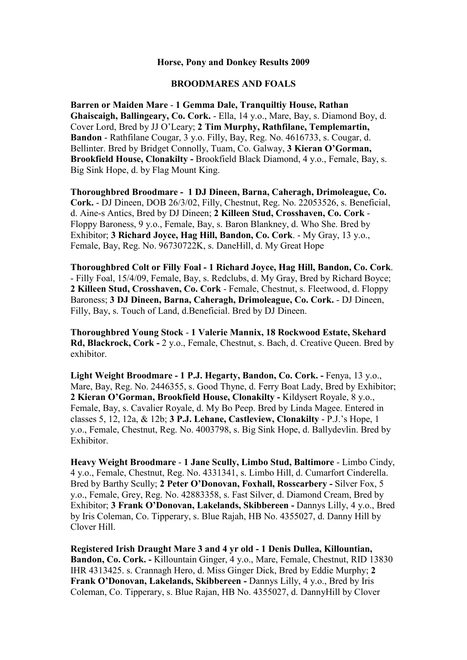#### **Horse, Pony and Donkey Results 2009**

### **BROODMARES AND FOALS**

**Barren or Maiden Mare** - **1 Gemma Dale, Tranquiltiy House, Rathan Ghaiscaigh, Ballingeary, Co. Cork.** - Ella, 14 y.o., Mare, Bay, s. Diamond Boy, d. Cover Lord, Bred by JJ O'Leary; **2 Tim Murphy, Rathfilane, Templemartin, Bandon** - Rathfilane Cougar, 3 y.o. Filly, Bay, Reg. No. 4616733, s. Cougar, d. Bellinter. Bred by Bridget Connolly, Tuam, Co. Galway, **3 Kieran O'Gorman, Brookfield House, Clonakilty -** Brookfield Black Diamond, 4 y.o., Female, Bay, s. Big Sink Hope, d. by Flag Mount King.

**Thoroughbred Broodmare - 1 DJ Dineen, Barna, Caheragh, Drimoleague, Co. Cork.** - DJ Dineen, DOB 26/3/02, Filly, Chestnut, Reg. No. 22053526, s. Beneficial, d. Aine-s Antics, Bred by DJ Dineen; **2 Killeen Stud, Crosshaven, Co. Cork** - Floppy Baroness, 9 y.o., Female, Bay, s. Baron Blankney, d. Who She. Bred by Exhibitor; **3 Richard Joyce, Hag Hill, Bandon, Co. Cork**. - My Gray, 13 y.o., Female, Bay, Reg. No. 96730722K, s. DaneHill, d. My Great Hope

**Thoroughbred Colt or Filly Foal - 1 Richard Joyce, Hag Hill, Bandon, Co. Cork**. - Filly Foal, 15/4/09, Female, Bay, s. Redclubs, d. My Gray, Bred by Richard Boyce; **2 Killeen Stud, Crosshaven, Co. Cork** - Female, Chestnut, s. Fleetwood, d. Floppy Baroness; **3 DJ Dineen, Barna, Caheragh, Drimoleague, Co. Cork.** - DJ Dineen, Filly, Bay, s. Touch of Land, d.Beneficial. Bred by DJ Dineen.

**Thoroughbred Young Stock** - **1 Valerie Mannix, 18 Rockwood Estate, Skehard Rd, Blackrock, Cork -** 2 y.o., Female, Chestnut, s. Bach, d. Creative Queen. Bred by exhibitor.

Light Weight Broodmare - 1 P.J. Hegarty, Bandon, Co. Cork. - Fenya, 13 y.o., Mare, Bay, Reg. No. 2446355, s. Good Thyne, d. Ferry Boat Lady, Bred by Exhibitor; **2 Kieran O'Gorman, Brookfield House, Clonakilty -** Kildysert Royale, 8 y.o., Female, Bay, s. Cavalier Royale, d. My Bo Peep. Bred by Linda Magee. Entered in classes 5, 12, 12a, & 12b; **3 P.J. Lehane, Castleview, Clonakilty** - P.J.'s Hope, 1 y.o., Female, Chestnut, Reg. No. 4003798, s. Big Sink Hope, d. Ballydevlin. Bred by Exhibitor.

**Heavy Weight Broodmare** - **1 Jane Scully, Limbo Stud, Baltimore** - Limbo Cindy, 4 y.o., Female, Chestnut, Reg. No. 4331341, s. Limbo Hill, d. Cumarfort Cinderella. Bred by Barthy Scully; **2 Peter O'Donovan, Foxhall, Rosscarbery -** Silver Fox, 5 y.o., Female, Grey, Reg. No. 42883358, s. Fast Silver, d. Diamond Cream, Bred by Exhibitor; **3 Frank O'Donovan, Lakelands, Skibbereen -** Dannys Lilly, 4 y.o., Bred by Iris Coleman, Co. Tipperary, s. Blue Rajah, HB No. 4355027, d. Danny Hill by Clover Hill.

**Registered Irish Draught Mare 3 and 4 yr old - 1 Denis Dullea, Killountian, Bandon, Co. Cork. -** Killountain Ginger, 4 y.o., Mare, Female, Chestnut, RID 13830 IHR 4313425. s. Crannagh Hero, d. Miss Ginger Dick, Bred by Eddie Murphy; **2 Frank O'Donovan, Lakelands, Skibbereen -** Dannys Lilly, 4 y.o., Bred by Iris Coleman, Co. Tipperary, s. Blue Rajan, HB No. 4355027, d. DannyHill by Clover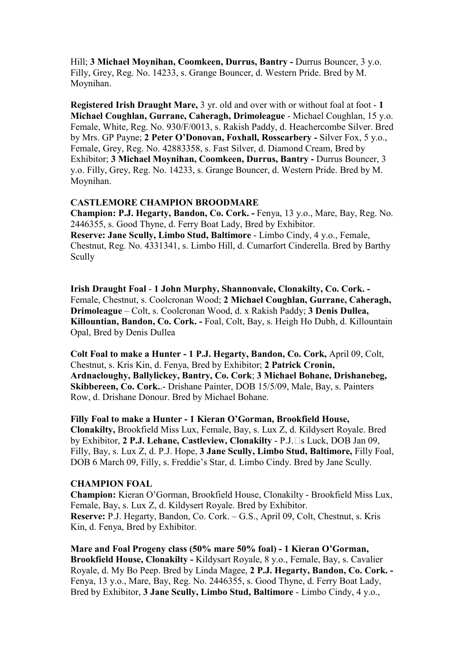Hill; **3 Michael Moynihan, Coomkeen, Durrus, Bantry -** Durrus Bouncer, 3 y.o. Filly, Grey, Reg. No. 14233, s. Grange Bouncer, d. Western Pride. Bred by M. Moynihan.

**Registered Irish Draught Mare,** 3 yr. old and over with or without foal at foot - **1 Michael Coughlan, Gurrane, Caheragh, Drimoleague** - Michael Coughlan, 15 y.o. Female, White, Reg. No. 930/F/0013, s. Rakish Paddy, d. Heachercombe Silver. Bred by Mrs. GP Payne; **2 Peter O'Donovan, Foxhall, Rosscarbery -** Silver Fox, 5 y.o., Female, Grey, Reg. No. 42883358, s. Fast Silver, d. Diamond Cream, Bred by Exhibitor; **3 Michael Moynihan, Coomkeen, Durrus, Bantry -** Durrus Bouncer, 3 y.o. Filly, Grey, Reg. No. 14233, s. Grange Bouncer, d. Western Pride. Bred by M. Moynihan.

## **CASTLEMORE CHAMPION BROODMARE**

**Champion: P.J. Hegarty, Bandon, Co. Cork. -** Fenya, 13 y.o., Mare, Bay, Reg. No. 2446355, s. Good Thyne, d. Ferry Boat Lady, Bred by Exhibitor. **Reserve: Jane Scully, Limbo Stud, Baltimore** - Limbo Cindy, 4 y.o., Female, Chestnut, Reg. No. 4331341, s. Limbo Hill, d. Cumarfort Cinderella. Bred by Barthy Scully

**Irish Draught Foal** - **1 John Murphy, Shannonvale, Clonakilty, Co. Cork. -** Female, Chestnut, s. Coolcronan Wood; **2 Michael Coughlan, Gurrane, Caheragh, Drimoleague** – Colt, s. Coolcronan Wood, d. x Rakish Paddy; **3 Denis Dullea, Killountian, Bandon, Co. Cork. -** Foal, Colt, Bay, s. Heigh Ho Dubh, d. Killountain Opal, Bred by Denis Dullea

**Colt Foal to make a Hunter - 1 P.J. Hegarty, Bandon, Co. Cork,** April 09, Colt, Chestnut, s. Kris Kin, d. Fenya, Bred by Exhibitor; **2 Patrick Cronin, Ardnacloughy, Ballylickey, Bantry, Co. Cork**; **3 Michael Bohane, Drishanebeg, Skibbereen, Co. Cork.**.- Drishane Painter, DOB 15/5/09, Male, Bay, s. Painters Row, d. Drishane Donour. Bred by Michael Bohane.

**Filly Foal to make a Hunter - 1 Kieran O'Gorman, Brookfield House, Clonakilty,** Brookfield Miss Lux, Female, Bay, s. Lux Z, d. Kildysert Royale. Bred by Exhibitor, **2 P.J. Lehane, Castleview, Clonakilty** - P.J.Bs Luck, DOB Jan 09, Filly, Bay, s. Lux Z, d. P.J. Hope, **3 Jane Scully, Limbo Stud, Baltimore,** Filly Foal, DOB 6 March 09, Filly, s. Freddie's Star, d. Limbo Cindy. Bred by Jane Scully.

## **CHAMPION FOAL**

**Champion:** Kieran O'Gorman, Brookfield House, Clonakilty - Brookfield Miss Lux, Female, Bay, s. Lux Z, d. Kildysert Royale. Bred by Exhibitor. **Reserve:** P.J. Hegarty, Bandon, Co. Cork. – G.S., April 09, Colt, Chestnut, s. Kris Kin, d. Fenya, Bred by Exhibitor.

**Mare and Foal Progeny class (50% mare 50% foal) - 1 Kieran O'Gorman, Brookfield House, Clonakilty -** Kildysart Royale, 8 y.o., Female, Bay, s. Cavalier Royale, d. My Bo Peep. Bred by Linda Magee, **2 P.J. Hegarty, Bandon, Co. Cork. -**  Fenya, 13 y.o., Mare, Bay, Reg. No. 2446355, s. Good Thyne, d. Ferry Boat Lady, Bred by Exhibitor, **3 Jane Scully, Limbo Stud, Baltimore** - Limbo Cindy, 4 y.o.,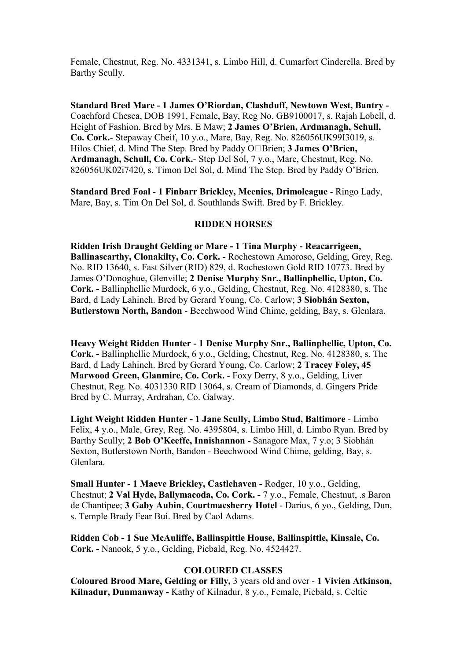Female, Chestnut, Reg. No. 4331341, s. Limbo Hill, d. Cumarfort Cinderella. Bred by Barthy Scully.

**Standard Bred Mare - 1 James O'Riordan, Clashduff, Newtown West, Bantry -**  Coachford Chesca, DOB 1991, Female, Bay, Reg No. GB9100017, s. Rajah Lobell, d. Height of Fashion. Bred by Mrs. E Maw; **2 James O'Brien, Ardmanagh, Schull, Co. Cork.**- Stepaway Cheif, 10 y.o., Mare, Bay, Reg. No. 826056UK99I3019, s. Hilos Chief, d. Mind The Step. Bred by Paddy OBBrien; **3 James O'Brien, Ardmanagh, Schull, Co. Cork.**- Step Del Sol, 7 y.o., Mare, Chestnut, Reg. No. 826056UK02i7420, s. Timon Del Sol, d. Mind The Step. Bred by Paddy O'Brien.

**Standard Bred Foal** - **1 Finbarr Brickley, Meenies, Drimoleague** - Ringo Lady, Mare, Bay, s. Tim On Del Sol, d. Southlands Swift. Bred by F. Brickley.

#### **RIDDEN HORSES**

**Ridden Irish Draught Gelding or Mare - 1 Tina Murphy - Reacarrigeen, Ballinascarthy, Clonakilty, Co. Cork. -** Rochestown Amoroso, Gelding, Grey, Reg. No. RID 13640, s. Fast Silver (RID) 829, d. Rochestown Gold RID 10773. Bred by James O'Donoghue, Glenville; **2 Denise Murphy Snr., Ballinphellic, Upton, Co. Cork. -** Ballinphellic Murdock, 6 y.o., Gelding, Chestnut, Reg. No. 4128380, s. The Bard, d Lady Lahinch. Bred by Gerard Young, Co. Carlow; **3 Siobhán Sexton, Butlerstown North, Bandon** - Beechwood Wind Chime, gelding, Bay, s. Glenlara.

**Heavy Weight Ridden Hunter - 1 Denise Murphy Snr., Ballinphellic, Upton, Co. Cork. -** Ballinphellic Murdock, 6 y.o., Gelding, Chestnut, Reg. No. 4128380, s. The Bard, d Lady Lahinch. Bred by Gerard Young, Co. Carlow; **2 Tracey Foley, 45 Marwood Green, Glanmire, Co. Cork.** - Foxy Derry, 8 y.o., Gelding, Liver Chestnut, Reg. No. 4031330 RID 13064, s. Cream of Diamonds, d. Gingers Pride Bred by C. Murray, Ardrahan, Co. Galway.

**Light Weight Ridden Hunter - 1 Jane Scully, Limbo Stud, Baltimore** - Limbo Felix, 4 y.o., Male, Grey, Reg. No. 4395804, s. Limbo Hill, d. Limbo Ryan. Bred by Barthy Scully; **2 Bob O'Keeffe, Innishannon -** Sanagore Max, 7 y.o; 3 Siobhán Sexton, Butlerstown North, Bandon - Beechwood Wind Chime, gelding, Bay, s. Glenlara.

**Small Hunter - 1 Maeve Brickley, Castlehaven -** Rodger, 10 y.o., Gelding, Chestnut; **2 Val Hyde, Ballymacoda, Co. Cork. -** 7 y.o., Female, Chestnut, .s Baron de Chantipee; **3 Gaby Aubin, Courtmacsherry Hotel** - Darius, 6 yo., Gelding, Dun, s. Temple Brady Fear Buí. Bred by Caol Adams.

**Ridden Cob - 1 Sue McAuliffe, Ballinspittle House, Ballinspittle, Kinsale, Co. Cork. -** Nanook, 5 y.o., Gelding, Piebald, Reg. No. 4524427.

# **COLOURED CLASSES**

**Coloured Brood Mare, Gelding or Filly,** 3 years old and over - **1 Vivien Atkinson, Kilnadur, Dunmanway -** Kathy of Kilnadur, 8 y.o., Female, Piebald, s. Celtic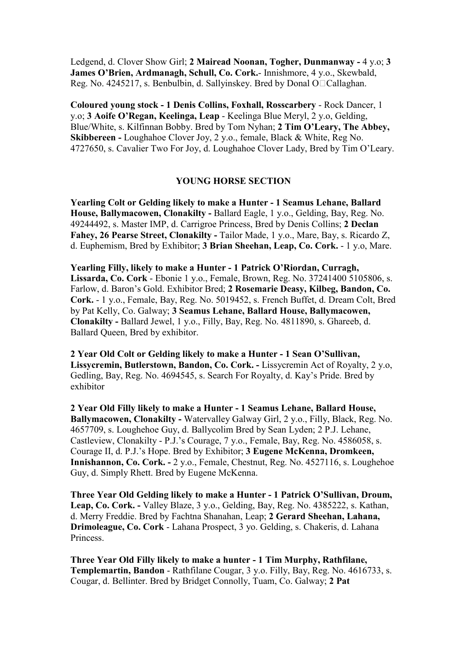Ledgend, d. Clover Show Girl; **2 Mairead Noonan, Togher, Dunmanway -** 4 y.o; **3 James O'Brien, Ardmanagh, Schull, Co. Cork.**- Innishmore, 4 y.o., Skewbald, Reg. No. 4245217, s. Benbulbin, d. Sallyinskey. Bred by Donal OBCallaghan.

**Coloured young stock - 1 Denis Collins, Foxhall, Rosscarbery** - Rock Dancer, 1 y.o; **3 Aoife O'Regan, Keelinga, Leap** - Keelinga Blue Meryl, 2 y.o, Gelding, Blue/White, s. Kilfinnan Bobby. Bred by Tom Nyhan; **2 Tim O'Leary, The Abbey, Skibbereen -** Loughahoe Clover Joy, 2 y.o., female, Black & White, Reg No. 4727650, s. Cavalier Two For Joy, d. Loughahoe Clover Lady, Bred by Tim O'Leary.

## **YOUNG HORSE SECTION**

**Yearling Colt or Gelding likely to make a Hunter - 1 Seamus Lehane, Ballard House, Ballymacowen, Clonakilty -** Ballard Eagle, 1 y.o., Gelding, Bay, Reg. No. 49244492, s. Master IMP, d. Carrigroe Princess, Bred by Denis Collins; **2 Declan Fahey, 26 Pearse Street, Clonakilty -** Tailor Made, 1 y.o., Mare, Bay, s. Ricardo Z, d. Euphemism, Bred by Exhibitor; **3 Brian Sheehan, Leap, Co. Cork.** - 1 y.o, Mare.

**Yearling Filly, likely to make a Hunter - 1 Patrick O'Riordan, Curragh, Lissarda, Co. Cork** - Ebonie 1 y.o., Female, Brown, Reg. No. 37241400 5105806, s. Farlow, d. Baron's Gold. Exhibitor Bred; **2 Rosemarie Deasy, Kilbeg, Bandon, Co. Cork.** - 1 y.o., Female, Bay, Reg. No. 5019452, s. French Buffet, d. Dream Colt, Bred by Pat Kelly, Co. Galway; **3 Seamus Lehane, Ballard House, Ballymacowen, Clonakilty -** Ballard Jewel, 1 y.o., Filly, Bay, Reg. No. 4811890, s. Ghareeb, d. Ballard Queen, Bred by exhibitor.

**2 Year Old Colt or Gelding likely to make a Hunter - 1 Sean O'Sullivan, Lissycremin, Butlerstown, Bandon, Co. Cork. -** Lissycremin Act of Royalty, 2 y.o, Gedling, Bay, Reg. No. 4694545, s. Search For Royalty, d. Kay's Pride. Bred by exhibitor

**2 Year Old Filly likely to make a Hunter - 1 Seamus Lehane, Ballard House, Ballymacowen, Clonakilty -** Watervalley Galway Girl, 2 y.o., Filly, Black, Reg. No. 4657709, s. Loughehoe Guy, d. Ballycolim Bred by Sean Lyden; 2 P.J. Lehane, Castleview, Clonakilty - P.J.'s Courage, 7 y.o., Female, Bay, Reg. No. 4586058, s. Courage II, d. P.J.'s Hope. Bred by Exhibitor; **3 Eugene McKenna, Dromkeen, Innishannon, Co. Cork. -** 2 y.o., Female, Chestnut, Reg. No. 4527116, s. Loughehoe Guy, d. Simply Rhett. Bred by Eugene McKenna.

**Three Year Old Gelding likely to make a Hunter - 1 Patrick O'Sullivan, Droum, Leap, Co. Cork. -** Valley Blaze, 3 y.o., Gelding, Bay, Reg. No. 4385222, s. Kathan, d. Merry Freddie. Bred by Fachtna Shanahan, Leap; **2 Gerard Sheehan, Lahana, Drimoleague, Co. Cork** - Lahana Prospect, 3 yo. Gelding, s. Chakeris, d. Lahana **Princess** 

**Three Year Old Filly likely to make a hunter - 1 Tim Murphy, Rathfilane, Templemartin, Bandon** - Rathfilane Cougar, 3 y.o. Filly, Bay, Reg. No. 4616733, s. Cougar, d. Bellinter. Bred by Bridget Connolly, Tuam, Co. Galway; **2 Pat**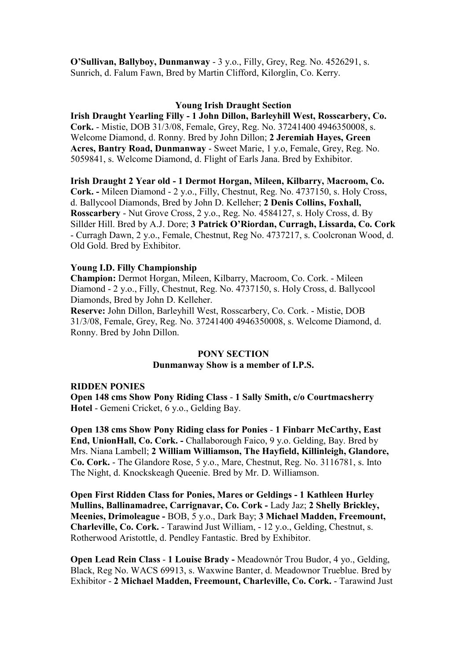**O'Sullivan, Ballyboy, Dunmanway** - 3 y.o., Filly, Grey, Reg. No. 4526291, s. Sunrich, d. Falum Fawn, Bred by Martin Clifford, Kilorglin, Co. Kerry.

## **Young Irish Draught Section**

**Irish Draught Yearling Filly - 1 John Dillon, Barleyhill West, Rosscarbery, Co. Cork.** - Mistie, DOB 31/3/08, Female, Grey, Reg. No. 37241400 4946350008, s. Welcome Diamond, d. Ronny. Bred by John Dillon; **2 Jeremiah Hayes, Green Acres, Bantry Road, Dunmanway** - Sweet Marie, 1 y.o, Female, Grey, Reg. No. 5059841, s. Welcome Diamond, d. Flight of Earls Jana. Bred by Exhibitor.

**Irish Draught 2 Year old - 1 Dermot Horgan, Mileen, Kilbarry, Macroom, Co. Cork. -** Mileen Diamond - 2 y.o., Filly, Chestnut, Reg. No. 4737150, s. Holy Cross, d. Ballycool Diamonds, Bred by John D. Kelleher; **2 Denis Collins, Foxhall, Rosscarbery** - Nut Grove Cross, 2 y.o., Reg. No. 4584127, s. Holy Cross, d. By Sillder Hill. Bred by A.J. Dore; **3 Patrick O'Riordan, Curragh, Lissarda, Co. Cork**  - Curragh Dawn, 2 y.o., Female, Chestnut, Reg No. 4737217, s. Coolcronan Wood, d. Old Gold. Bred by Exhibitor.

## **Young I.D. Filly Championship**

**Champion:** Dermot Horgan, Mileen, Kilbarry, Macroom, Co. Cork. - Mileen Diamond - 2 y.o., Filly, Chestnut, Reg. No. 4737150, s. Holy Cross, d. Ballycool Diamonds, Bred by John D. Kelleher.

**Reserve:** John Dillon, Barleyhill West, Rosscarbery, Co. Cork. - Mistie, DOB 31/3/08, Female, Grey, Reg. No. 37241400 4946350008, s. Welcome Diamond, d. Ronny. Bred by John Dillon.

#### **PONY SECTION**

## **Dunmanway Show is a member of I.P.S.**

#### **RIDDEN PONIES**

**Open 148 cms Show Pony Riding Class** - **1 Sally Smith, c/o Courtmacsherry Hotel** - Gemeni Cricket, 6 y.o., Gelding Bay.

**Open 138 cms Show Pony Riding class for Ponies** - **1 Finbarr McCarthy, East**  End, UnionHall, Co. Cork. - Challaborough Faico, 9 y.o. Gelding, Bay. Bred by Mrs. Niana Lambell; **2 William Williamson, The Hayfield, Killinleigh, Glandore, Co. Cork.** - The Glandore Rose, 5 y.o., Mare, Chestnut, Reg. No. 3116781, s. Into The Night, d. Knockskeagh Queenie. Bred by Mr. D. Williamson.

**Open First Ridden Class for Ponies, Mares or Geldings - 1 Kathleen Hurley Mullins, Ballinamadree, Carrignavar, Co. Cork -** Lady Jaz; **2 Shelly Brickley, Meenies, Drimoleague -** BOB, 5 y.o., Dark Bay; **3 Michael Madden, Freemount, Charleville, Co. Cork.** - Tarawind Just William, - 12 y.o., Gelding, Chestnut, s. Rotherwood Aristottle, d. Pendley Fantastic. Bred by Exhibitor.

**Open Lead Rein Class** - **1 Louise Brady -** Meadownór Trou Budor, 4 yo., Gelding, Black, Reg No. WACS 69913, s. Waxwine Banter, d. Meadownor Trueblue. Bred by Exhibitor - **2 Michael Madden, Freemount, Charleville, Co. Cork.** - Tarawind Just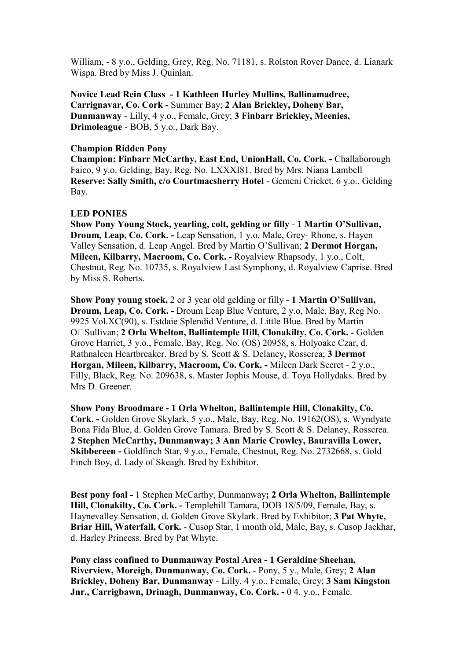William, - 8 y.o., Gelding, Grey, Reg. No. 71181, s. Rolston Rover Dance, d. Lianark Wispa. Bred by Miss J. Quinlan.

**Novice Lead Rein Class - 1 Kathleen Hurley Mullins, Ballinamadree, Carrignavar, Co. Cork -** Summer Bay; **2 Alan Brickley, Doheny Bar, Dunmanway** - Lilly, 4 y.o., Female, Grey; **3 Finbarr Brickley, Meenies, Drimoleague** - BOB, 5 y.o., Dark Bay.

### **Champion Ridden Pony**

**Champion: Finbarr McCarthy, East End, UnionHall, Co. Cork. - Challaborough** Faico, 9 y.o. Gelding, Bay, Reg. No. LXXXI81. Bred by Mrs. Niana Lambell **Reserve: Sally Smith, c/o Courtmacsherry Hotel** - Gemeni Cricket, 6 y.o., Gelding Bay.

## **LED PONIES**

**Show Pony Young Stock, yearling, colt, gelding or filly** - **1 Martin O'Sullivan, Droum, Leap, Co. Cork. -** Leap Sensation, 1 y.o, Male, Grey- Rhone, s. Hayen Valley Sensation, d. Leap Angel. Bred by Martin O'Sullivan; **2 Dermot Horgan, Mileen, Kilbarry, Macroom, Co. Cork. -** Royalview Rhapsody, 1 y.o., Colt, Chestnut, Reg. No. 10735, s. Royalview Last Symphony, d. Royalview Caprise. Bred by Miss S. Roberts.

**Show Pony young stock,** 2 or 3 year old gelding or filly - **1 Martin O'Sullivan, Droum, Leap, Co. Cork. -** Droum Leap Blue Venture, 2 y.o, Male, Bay, Reg No. 9925 Vol.XC(90), s. Estdaie Splendid Venture, d. Little Blue. Bred by Martin OBSullivan; **2 Orla Whelton, Ballintemple Hill, Clonakilty, Co. Cork. -** Golden Grove Harriet, 3 y.o., Female, Bay, Reg. No. (OS) 20958, s. Holyoake Czar, d. Rathnaleen Heartbreaker. Bred by S. Scott & S. Delaney, Rosscrea; **3 Dermot Horgan, Mileen, Kilbarry, Macroom, Co. Cork. -** Mileen Dark Secret - 2 y.o., Filly, Black, Reg. No. 209638, s. Master Jophis Mouse, d. Toya Hollydaks. Bred by Mrs D. Greener.

**Show Pony Broodmare - 1 Orla Whelton, Ballintemple Hill, Clonakilty, Co. Cork. -** Golden Grove Skylark, 5 y.o., Male, Bay, Reg. No. 19162(OS), s. Wyndyate Bona Fida Blue, d. Golden Grove Tamara. Bred by S. Scott & S. Delaney, Rosscrea. **2 Stephen McCarthy, Dunmanway; 3 Ann Marie Crowley, Bauravilla Lower, Skibbereen -** Goldfinch Star, 9 y.o., Female, Chestnut, Reg. No. 2732668, s. Gold Finch Boy, d. Lady of Skeagh. Bred by Exhibitor.

**Best pony foal -** 1 Stephen McCarthy, Dunmanway**; 2 Orla Whelton, Ballintemple Hill, Clonakilty, Co. Cork. - Templehill Tamara, DOB 18/5/09, Female, Bay, s.** Haynevalley Sensation, d. Golden Grove Skylark. Bred by Exhibitor; **3 Pat Whyte, Briar Hill, Waterfall, Cork.** - Cusop Star, 1 month old, Male, Bay, s. Cusop Jackhar, d. Harley Princess. Bred by Pat Whyte.

**Pony class confined to Dunmanway Postal Area - 1 Geraldine Sheehan, Riverview, Moreigh, Dunmanway, Co. Cork.** - Pony, 5 y., Male, Grey; **2 Alan Brickley, Doheny Bar, Dunmanway** - Lilly, 4 y.o., Female, Grey; **3 Sam Kingston Jnr., Carrigbawn, Drinagh, Dunmanway, Co. Cork. - 0 4. y.o., Female.**